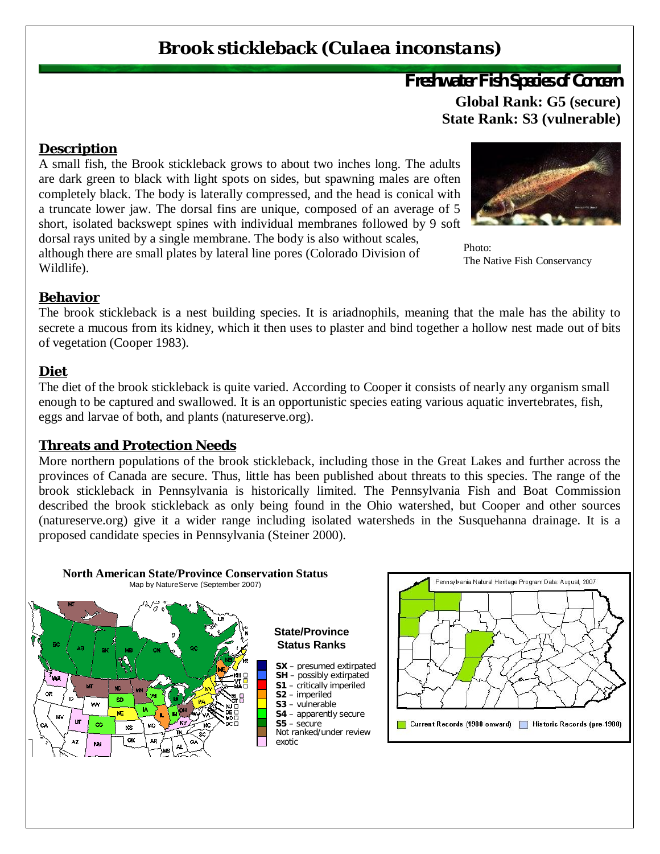# **Brook stickleback (***Culaea inconstans***)**

## *Freshwater Fish Species of Concern* **Global Rank: G5 (secure) State Rank: S3 (vulnerable)**

#### **Description**

A small fish, the Brook stickleback grows to about two inches long. The adults are dark green to black with light spots on sides, but spawning males are often completely black. The body is laterally compressed, and the head is conical with a truncate lower jaw. The dorsal fins are unique, composed of an average of 5 short, isolated backswept spines with individual membranes followed by 9 soft dorsal rays united by a single membrane. The body is also without scales,

although there are small plates by lateral line pores (Colorado Division of Wildlife).



Photo<sup>.</sup> The Native Fish Conservancy

#### **Behavior**

The brook stickleback is a nest building species. It is ariadnophils, meaning that the male has the ability to secrete a mucous from its kidney, which it then uses to plaster and bind together a hollow nest made out of bits of vegetation (Cooper 1983).

#### **Diet**

The diet of the brook stickleback is quite varied. According to Cooper it consists of nearly any organism small enough to be captured and swallowed. It is an opportunistic species eating various aquatic invertebrates, fish, eggs and larvae of both, and plants (natureserve.org).

#### **Threats and Protection Needs**

More northern populations of the brook stickleback, including those in the Great Lakes and further across the provinces of Canada are secure. Thus, little has been published about threats to this species. The range of the brook stickleback in Pennsylvania is historically limited. The Pennsylvania Fish and Boat Commission described the brook stickleback as only being found in the Ohio watershed, but Cooper and other sources (natureserve.org) give it a wider range including isolated watersheds in the Susquehanna drainage. It is a proposed candidate species in Pennsylvania (Steiner 2000).